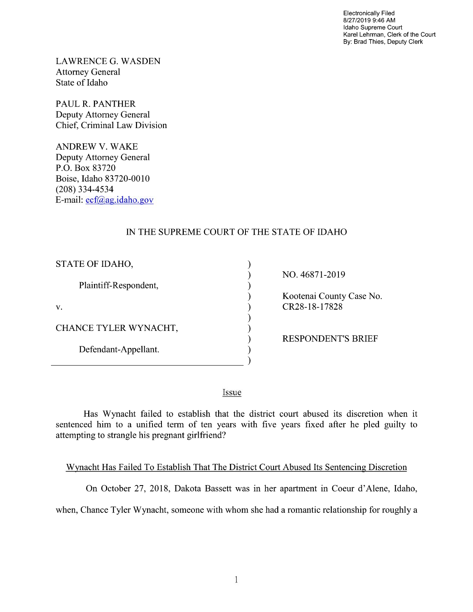Electronically Filed 8/27/2019 9:46 AM Idaho Supreme Court Karel Lehrman, Clerk of the Court By: Brad Thies, Deputy Clerk

LAWRENCE G. WASDEN Attorney General State of Idaho

PAUL R. PANTHER Deputy Attorney General Chief, Criminal Law Division

ANDREW V. WAKE Deputy Attorney General P.O. Box 83720 Boise, Idaho 83720-0010 (208) 334—4534 E—mail: ecf@ag.idaho.gov

 $\overline{a}$ 

## IN THE SUPREME COURT OF THE STATE OF IDAHO

⟩

 $\lambda$  $\mathcal{E}$ 

 $\mathcal{E}$ 

 $\lambda$ 

| STATE OF IDAHO,       |
|-----------------------|
| Plaintiff-Respondent, |
| V.                    |
| CHANCE TYLER WYNACHT, |
| Defendant-Appellant.  |

NO. 46871-2019

Kootenai County Case No. CR28-18-17828

RESPONDENT'S BRIEF

Issue

Has Wynacht failed to establish that the district court abused its discretion when it sentenced him to a unified term of ten years with five years fixed after he pled guilty to attempting to strangle his pregnant girlfriend?

Wynacht Has Failed To Establish That The District Court Abused Its Sentencing Discretion

On October 27, 2018, Dakota Bassett was in her apartment in Coeur d'Alene, Idaho,

when, Chance Tyler Wynacht, someone with whom she had a romantic relationship for roughly a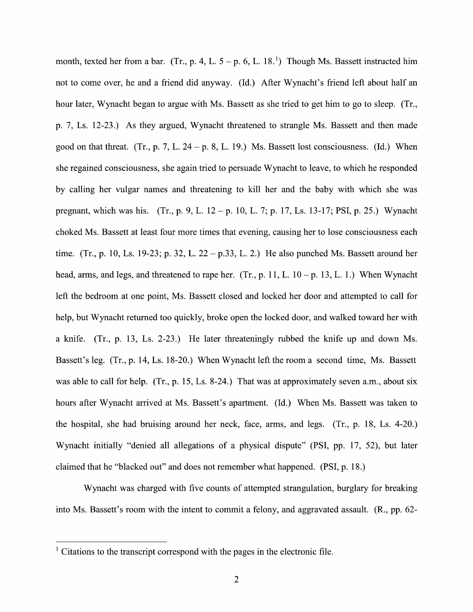month, texted her from a bar. (Tr., p. 4, L.  $5 - p$ . 6, L. 18.<sup>1</sup>) Though Ms. Bassett instructed him not to come over, he and a friend did anyway. (Id.) After Wynacht's friend left about half an hour later, Wynacht began to argue with Ms. Bassett as she tried to get him to go to sleep. (Tr., p. 7, Ls. 12-23.) As they argued, Wynacht threatened t0 strangle Ms. Bassett and then made good on that threat. (Tr., p. 7, L.  $24 - p$ , 8, L. 19.) Ms. Bassett lost consciousness. (Id.) When she regained consciousness, she again tried to persuade Wynacht to leave, to which he responded by calling her vulgar names and threatening to kill her and the baby with Which she was pregnant, which was his. (Tr., p. 9, L.  $12 - p$ . 10, L. 7; p. 17, Ls. 13-17; PSI, p. 25.) Wynacht choked Ms. Bassett at least four more times that evening, causing her to lose consciousness each time. (Tr., p. 10, Ls. 19-23; p. 32, L. 22 – p.33, L. 2.) He also punched Ms. Bassett around her head, arms, and legs, and threatened to rape her. (Tr., p. 11, L.  $10 - p$ . 13, L. 1.) When Wynacht left the bedroom at one point, Ms. Bassett closed and locked her door and attempted to call for help, but Wynacht returned too quickly, broke open the locked door, and walked toward her with a knife. (Tr., p. 13, Ls. 2-23.) He later threateningly rubbed the knife up and down Ms. Bassett's leg. (Tr., p. 14, Ls. 18-20.) When Wynacht left the room a second time, Ms. Bassett was able to call for help. (Tr., p. 15, Ls. 8-24.) That was at approximately seven a.m., about six hours after Wynacht arrived at Ms. Bassett's apartment. (Id.) When Ms. Bassett was taken to the hospital, she had bruising around her neck, face, arms, and legs.  $(Tr, p. 18, Ls. 4-20.)$ Wynacht initially "denied all allegations of a physical dispute" (PSI, pp. 17, 52), but later claimed that he "blacked out" and does not remember What happened. (PSI, p. 18.)

Wynacht was charged With five counts of attempted strangulation, burglary for breaking into Ms. Bassett's room with the intent to commit a felony, and aggravated assault.  $(R., pp. 62-$ 

 $\frac{1}{1}$  Citations to the transcript correspond with the pages in the electronic file.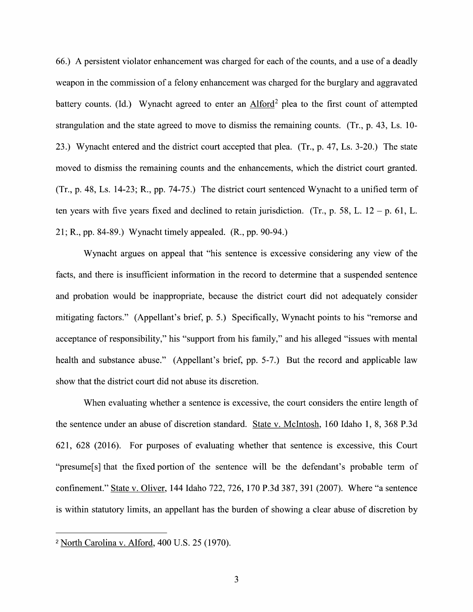66.) A persistent violator enhancement was charged for each of the counts, and a use of a deadly weapon in the commission of a felony enhancement was charged for the burglary and aggravated battery counts. (Id.) Wynacht agreed to enter an Alford<sup>2</sup> plea to the first count of attempted strangulation and the state agreed to move to dismiss the remaining counts. (Tr., p. 43, Ls.  $10$ -23.) Wynacht entered and the district court accepted that plea. (Tr., p. 47, Ls. 3-20.) The state moved to dismiss the remaining counts and the enhancements, Which the district court granted.  $(Tr, p. 48, Ls. 14-23; R., pp. 74-75.)$  The district court sentenced Wynacht to a unified term of ten years with five years fixed and declined to retain jurisdiction. (Tr., p. 58, L.  $12 - p$ . 61, L. 21; R., pp. 84-89.) Wynacht timely appealed. (R., pp. 90-94.)

Wynacht argues on appeal that "his sentence is excessive considering any view of the facts, and there is insufficient information in the record to determine that a suspended sentence and probation would be inappropriate, because the district court did not adequately consider mitigating factors." (Appellant's brief, p. 5.) Specifically, Wynacht points t0 his "remorse and acceptance of responsibility," his "support from his family," and his alleged "issues with mental health and substance abuse." (Appellant's brief, pp. 5-7.) But the record and applicable law show that the district court did not abuse its discretion.

When evaluating whether a sentence is excessive, the court considers the entire length of the sentence under an abuse 0f discretion standard. State V. McIntosh, 160 Idaho 1, 8, 368 P.3d 621, 628 (2016). For purposes of evaluating whether that sentence is excessive, this Court "presume[s] that the fixed portion of the sentence will be the defendant's probable term of confinement." State V. Oliver, 144 Idaho 722, 726, 170 P.3d 387, 391 (2007). Where "a sentence is within statutory limits, an appellant has the burden of showing a clear abuse of discretion by

<sup>&</sup>lt;sup>2</sup> North Carolina v. Alford, 400 U.S. 25 (1970).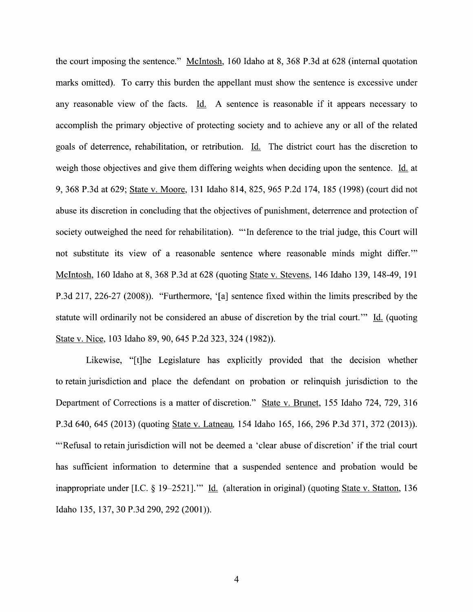the court imposing the sentence." McIntosh, 160 Idaho at 8, 368 P.3d at 628 (internal quotation marks omitted). To carry this burden the appellant must show the sentence is excessive under any reasonable view of the facts. Id. A sentence is reasonable if it appears necessary to accomplish the primary objective of protecting society and to achieve any 0r all 0f the related goals of deterrence, rehabilitation, 0r retribution. Li. The district court has the discretion to weigh those objectives and give them differing weights when deciding upon the sentence. Id. at 9, 368 P.3d at 629; State V. Moore, 131 Idaho 814, 825, 965 P.2d 174, 185 (1998) (court did not abuse its discretion in concluding that the objectives of punishment, deterrence and protection of society outweighed the need for rehabilitation). "'In deference to the trial judge, this Court will not substitute its view of a reasonable sentence where reasonable minds might differ." McIntosh, 160 Idaho at 8, 368 P.3d at 628 (quoting State V. Stevens, 146 Idaho 139, 148-49, 191 P.3d 217, 226-27 (2008)). "Furthermore, '[a] sentence fixed Within the limits prescribed by the statute will ordinarily not be considered an abuse of discretion by the trial court." Id. (quoting State V. Nice, 103 Idaho 89, 90, 645 P.2d 323, 324 (1982)).

Likewise, "[t]he Legislature has explicitly provided that the decision Whether to retain jurisdiction and place the defendant on probation or relinquish jurisdiction to the Department of Corrections is a matter of discretion." State v. Brunet, 155 Idaho 724, 729, 316 P.3d 640, 645 (2013) (quoting State v. Latneau, 154 Idaho 165, 166, 296 P.3d 371, 372 (2013)). "'Refusal to retain jurisdiction will not be deemed a 'clear abuse of discretion' if the trial court has sufficient information to determine that a suspended sentence and probation would be inappropriate under [I.C.  $\S$  19–2521]." Id. (alteration in original) (quoting State v. Statton, 136 Idaho 135, 137, <sup>30</sup> P.3d 290, <sup>292</sup> (2001)).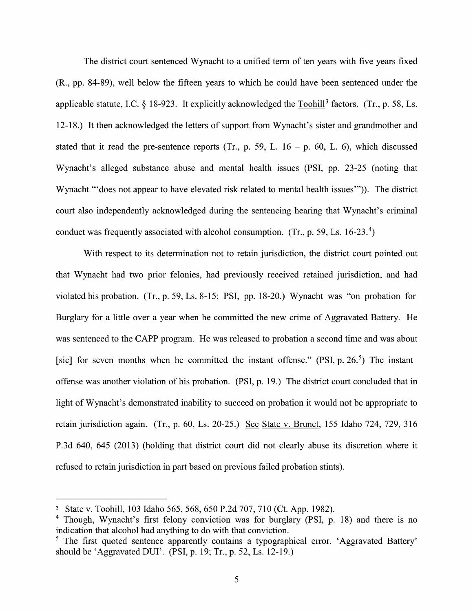The district court sentenced Wynacht to a unified term of ten years with five years fixed (R., pp. 84-89), well below the fifteen years to Which he could have been sentenced under the applicable statute, I.C.  $\S$  18-923. It explicitly acknowledged the Toohill<sup>3</sup> factors. (Tr., p. 58, Ls. 12-18.) It then acknowledged the letters of support from Wynacht's sister and grandmother and stated that it read the pre-sentence reports (Tr., p. 59, L.  $16 - p$ , 60, L. 6), which discussed Wynacht's alleged substance abuse and mental health issues (PSI, pp. 23-25 (noting that Wynacht "'does not appear to have elevated risk related to mental health issues"')). The district court also independently acknowledged during the sentencing hearing that Wynacht's criminal conduct was frequently associated with alcohol consumption. (Tr., p. 59, Ls.  $16-23.4$ )

With respect to its determination not to retain jurisdiction, the district court pointed out that Wynacht had two prior felonies, had previously received retained jurisdiction, and had violated his probation. (Tr., p. 59, Ls. 8-15; PSI, pp. 18-20.) Wynacht was "on probation for Burglary for a little over a year when he committed the new crime of Aggravated Battery. He was sentenced to the CAPP program. He was released to probation a second time and was about [sic] for seven months when he committed the instant offense." (PSI, p.  $26.5$ ) The instant offense was another Violation of his probation. (PSI, p. 19.) The district court concluded that in light of Wynacht's demonstrated inability to succeed on probation it would not be appropriate to retain jurisdiction again. (Tr., p. 60, Ls. 20-25.) See State v. Brunet, 155 Idaho 724, 729, 316 P.3d 640, 645 (2013) (holding that district court did not clearly abuse its discretion where it refused to retain jurisdiction in part based on previous failed probation stints).

State V. Toohill, 103 Idaho 565, 568, 650 P.2d 707, 710 (Ct. App. 1982).

<sup>&</sup>lt;sup>4</sup> Though, Wynacht's first felony conviction was for burglary (PSI, p. 18) and there is no indication that alcohol had anything to do with that conviction.

<sup>&</sup>lt;sup>5</sup> The first quoted sentence apparently contains a typographical error. 'Aggravated Battery' should be 'Aggravated DUI". (PSI, p. 19; Tr., p. 52, Ls. 12-19.)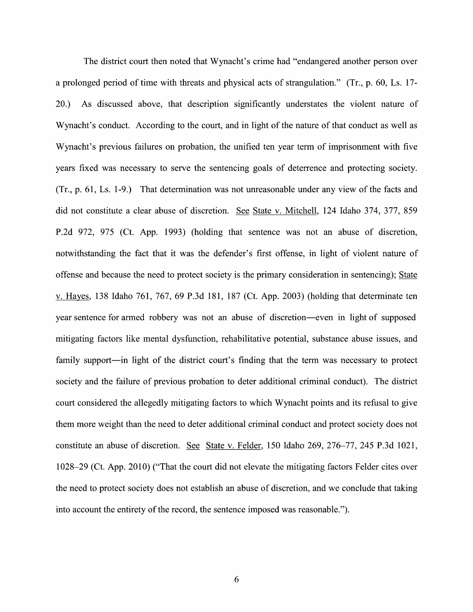The district court then noted that Wynacht's crime had "endangered another person over a prolonged period of time with threats and physical acts of strangulation." (Tr., p. 60, Ls. 17-20.) As discussed above, that description significantly understates the Violent nature of Wynacht's conduct. According to the court, and in light of the nature of that conduct as well as Wynacht's previous failures on probation, the unified ten year term of imprisonment with five years fixed was necessary to serve the sentencing goals of deterrence and protecting society.  $(Tr, p. 61, Ls. 1-9.)$  That determination was not unreasonable under any view of the facts and did not constitute a clear abuse of discretion. See State v. Mitchell, 124 Idaho 374, 377, 859 P.2d 972, 975 (Ct. App. 1993) (holding that sentence was not an abuse of discretion, notwithstanding the fact that it was the defender's first offense, in light of violent nature of offense and because the need to protect society is the primary consideration in sentencing); State V. Hayes, 138 Idaho 761, 767, 69 P.3d 181, 187 (Ct. App. 2003) (holding that determinate ten year sentence for armed robbery was not an abuse of discretion—even in light 0f supposed mitigating factors like mental dysfimction, rehabilitative potential, substance abuse issues, and family support—in light of the district court's finding that the term was necessary to protect society and the failure of previous probation to deter additional criminal conduct). The district court considered the allegedly mitigating factors to which Wynacht points and its refusal to give them more weight than the need to deter additional criminal conduct and protect society does not constitute an abuse of discretion. See State v. Felder, 150 Idaho 269, 276–77, 245 P.3d 1021, 1028—29 (Ct. App. 2010) ("That the court did not elevate the mitigating factors Felder cites over the need t0 protect society does not establish an abuse of discretion, and we conclude that taking into account the entirety of the record, the sentence imposed was reasonable.").